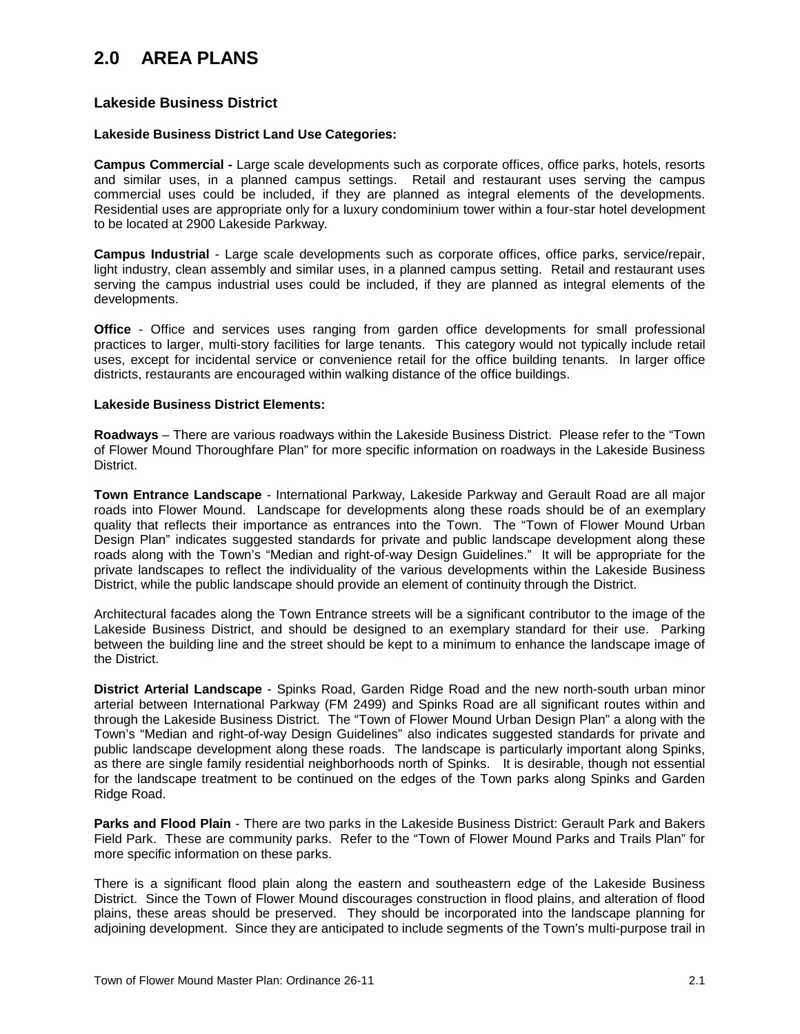### **2.0 AREA PLANS**

### **Lakeside Business District**

#### **Lakeside Business District Land Use Categories:**

**Campus Commercial -** Large scale developments such as corporate offices, office parks, hotels, resorts and similar uses, in a planned campus settings. Retail and restaurant uses serving the campus commercial uses could be included, if they are planned as integral elements of the developments. Residential uses are appropriate only for a luxury condominium tower within a four-star hotel development to be located at 2900 Lakeside Parkway.

**Campus Industrial** - Large scale developments such as corporate offices, office parks, service/repair, light industry, clean assembly and similar uses, in a planned campus setting. Retail and restaurant uses serving the campus industrial uses could be included, if they are planned as integral elements of the developments.

**Office** - Office and services uses ranging from garden office developments for small professional practices to larger, multi-story facilities for large tenants. This category would not typically include retail uses, except for incidental service or convenience retail for the office building tenants. In larger office districts, restaurants are encouraged within walking distance of the office buildings.

#### **Lakeside Business District Elements:**

**Roadways** – There are various roadways within the Lakeside Business District. Please refer to the "Town of Flower Mound Thoroughfare Plan" for more specific information on roadways in the Lakeside Business District.

**Town Entrance Landscape** - International Parkway, Lakeside Parkway and Gerault Road are all major roads into Flower Mound. Landscape for developments along these roads should be of an exemplary quality that reflects their importance as entrances into the Town. The "Town of Flower Mound Urban Design Plan" indicates suggested standards for private and public landscape development along these roads along with the Town's "Median and right-of-way Design Guidelines." It will be appropriate for the private landscapes to reflect the individuality of the various developments within the Lakeside Business District, while the public landscape should provide an element of continuity through the District.

Architectural facades along the Town Entrance streets will be a significant contributor to the image of the Lakeside Business District, and should be designed to an exemplary standard for their use. Parking between the building line and the street should be kept to a minimum to enhance the landscape image of the District.

**District Arterial Landscape** - Spinks Road, Garden Ridge Road and the new north-south urban minor arterial between International Parkway (FM 2499) and Spinks Road are all significant routes within and through the Lakeside Business District. The "Town of Flower Mound Urban Design Plan" a along with the Town's "Median and right-of-way Design Guidelines" also indicates suggested standards for private and public landscape development along these roads. The landscape is particularly important along Spinks, as there are single family residential neighborhoods north of Spinks. It is desirable, though not essential for the landscape treatment to be continued on the edges of the Town parks along Spinks and Garden Ridge Road.

**Parks and Flood Plain** - There are two parks in the Lakeside Business District: Gerault Park and Bakers Field Park. These are community parks. Refer to the "Town of Flower Mound Parks and Trails Plan" for more specific information on these parks.

There is a significant flood plain along the eastern and southeastern edge of the Lakeside Business District. Since the Town of Flower Mound discourages construction in flood plains, and alteration of flood plains, these areas should be preserved. They should be incorporated into the landscape planning for adjoining development. Since they are anticipated to include segments of the Town's multi-purpose trail in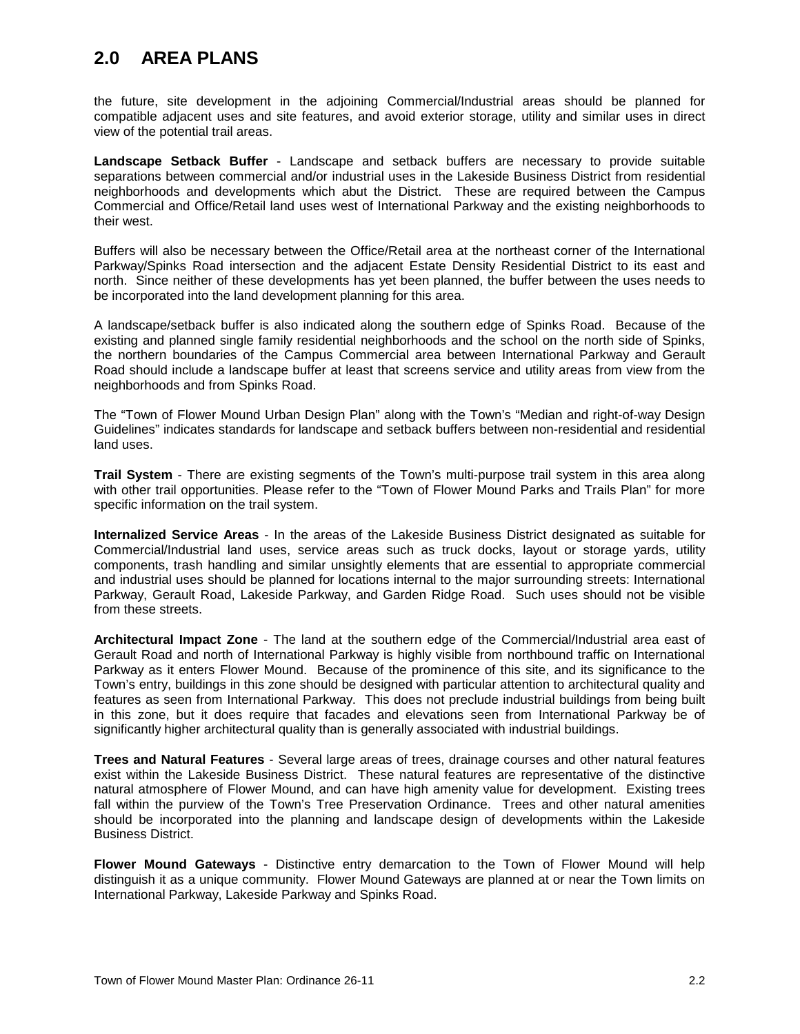## **2.0 AREA PLANS**

the future, site development in the adjoining Commercial/Industrial areas should be planned for compatible adjacent uses and site features, and avoid exterior storage, utility and similar uses in direct view of the potential trail areas.

**Landscape Setback Buffer** - Landscape and setback buffers are necessary to provide suitable separations between commercial and/or industrial uses in the Lakeside Business District from residential neighborhoods and developments which abut the District. These are required between the Campus Commercial and Office/Retail land uses west of International Parkway and the existing neighborhoods to their west.

Buffers will also be necessary between the Office/Retail area at the northeast corner of the International Parkway/Spinks Road intersection and the adjacent Estate Density Residential District to its east and north. Since neither of these developments has yet been planned, the buffer between the uses needs to be incorporated into the land development planning for this area.

A landscape/setback buffer is also indicated along the southern edge of Spinks Road. Because of the existing and planned single family residential neighborhoods and the school on the north side of Spinks, the northern boundaries of the Campus Commercial area between International Parkway and Gerault Road should include a landscape buffer at least that screens service and utility areas from view from the neighborhoods and from Spinks Road.

The "Town of Flower Mound Urban Design Plan" along with the Town's "Median and right-of-way Design Guidelines" indicates standards for landscape and setback buffers between non-residential and residential land uses.

**Trail System** - There are existing segments of the Town's multi-purpose trail system in this area along with other trail opportunities. Please refer to the "Town of Flower Mound Parks and Trails Plan" for more specific information on the trail system.

**Internalized Service Areas** - In the areas of the Lakeside Business District designated as suitable for Commercial/Industrial land uses, service areas such as truck docks, layout or storage yards, utility components, trash handling and similar unsightly elements that are essential to appropriate commercial and industrial uses should be planned for locations internal to the major surrounding streets: International Parkway, Gerault Road, Lakeside Parkway, and Garden Ridge Road. Such uses should not be visible from these streets.

**Architectural Impact Zone** - The land at the southern edge of the Commercial/Industrial area east of Gerault Road and north of International Parkway is highly visible from northbound traffic on International Parkway as it enters Flower Mound. Because of the prominence of this site, and its significance to the Town's entry, buildings in this zone should be designed with particular attention to architectural quality and features as seen from International Parkway. This does not preclude industrial buildings from being built in this zone, but it does require that facades and elevations seen from International Parkway be of significantly higher architectural quality than is generally associated with industrial buildings.

**Trees and Natural Features** - Several large areas of trees, drainage courses and other natural features exist within the Lakeside Business District. These natural features are representative of the distinctive natural atmosphere of Flower Mound, and can have high amenity value for development. Existing trees fall within the purview of the Town's Tree Preservation Ordinance. Trees and other natural amenities should be incorporated into the planning and landscape design of developments within the Lakeside Business District.

**Flower Mound Gateways** - Distinctive entry demarcation to the Town of Flower Mound will help distinguish it as a unique community. Flower Mound Gateways are planned at or near the Town limits on International Parkway, Lakeside Parkway and Spinks Road.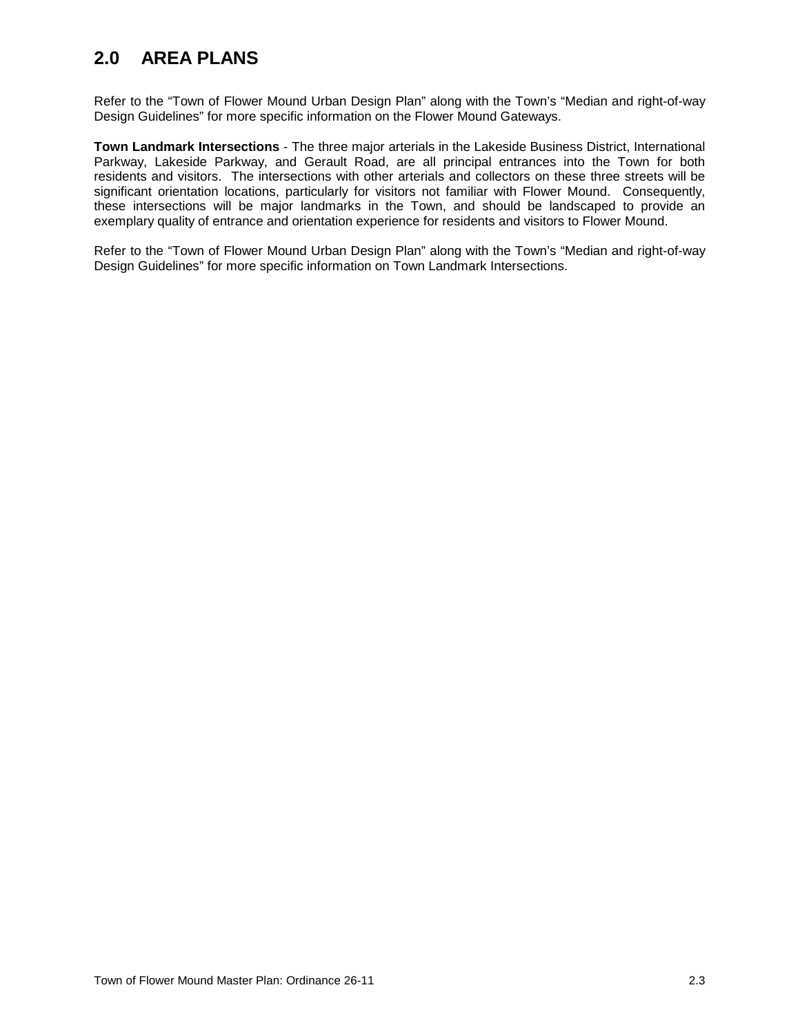# **2.0 AREA PLANS**

Refer to the "Town of Flower Mound Urban Design Plan" along with the Town's "Median and right-of-way Design Guidelines" for more specific information on the Flower Mound Gateways.

**Town Landmark Intersections** - The three major arterials in the Lakeside Business District, International Parkway, Lakeside Parkway, and Gerault Road, are all principal entrances into the Town for both residents and visitors. The intersections with other arterials and collectors on these three streets will be significant orientation locations, particularly for visitors not familiar with Flower Mound. Consequently, these intersections will be major landmarks in the Town, and should be landscaped to provide an exemplary quality of entrance and orientation experience for residents and visitors to Flower Mound.

Refer to the "Town of Flower Mound Urban Design Plan" along with the Town's "Median and right-of-way Design Guidelines" for more specific information on Town Landmark Intersections.